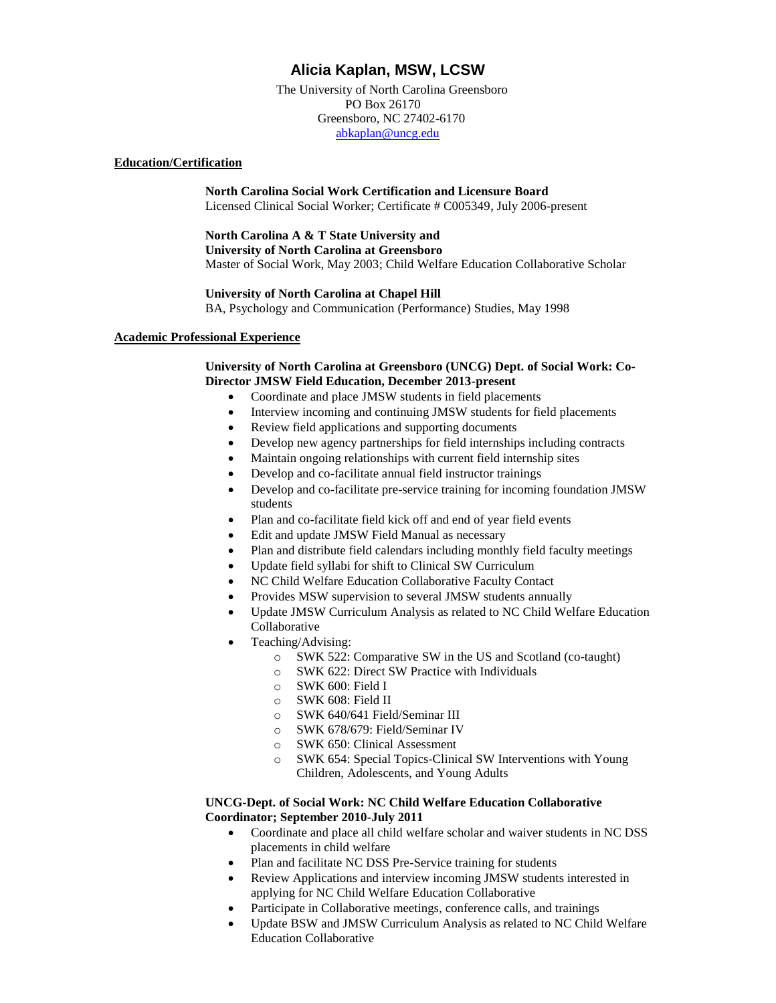# **Alicia Kaplan, MSW, LCSW**

 The University of North Carolina Greensboro PO Box 26170 Greensboro, NC 27402-6170 [abkaplan@uncg.edu](mailto:abkaplan@uncg.edu)

# **Education/Certification**

**North Carolina Social Work Certification and Licensure Board** Licensed Clinical Social Worker; Certificate # C005349, July 2006-present

# **North Carolina A & T State University and**

**University of North Carolina at Greensboro** Master of Social Work, May 2003; Child Welfare Education Collaborative Scholar

# **University of North Carolina at Chapel Hill**

BA, Psychology and Communication (Performance) Studies, May 1998

# **Academic Professional Experience**

# **University of North Carolina at Greensboro (UNCG) Dept. of Social Work: Co-Director JMSW Field Education, December 2013-present**

- Coordinate and place JMSW students in field placements
- Interview incoming and continuing JMSW students for field placements
- Review field applications and supporting documents
- Develop new agency partnerships for field internships including contracts
- Maintain ongoing relationships with current field internship sites
- Develop and co-facilitate annual field instructor trainings
- Develop and co-facilitate pre-service training for incoming foundation JMSW students
- Plan and co-facilitate field kick off and end of year field events
- Edit and update JMSW Field Manual as necessary
- Plan and distribute field calendars including monthly field faculty meetings
- Update field syllabi for shift to Clinical SW Curriculum
- NC Child Welfare Education Collaborative Faculty Contact
- Provides MSW supervision to several JMSW students annually
- Update JMSW Curriculum Analysis as related to NC Child Welfare Education Collaborative
- Teaching/Advising:
	- o SWK 522: Comparative SW in the US and Scotland (co-taught)
	- o SWK 622: Direct SW Practice with Individuals
	- o SWK 600: Field I
	- o SWK 608: Field II
	- o SWK 640/641 Field/Seminar III
	- o SWK 678/679: Field/Seminar IV
	- o SWK 650: Clinical Assessment
	- o SWK 654: Special Topics-Clinical SW Interventions with Young Children, Adolescents, and Young Adults

# **UNCG-Dept. of Social Work: NC Child Welfare Education Collaborative Coordinator; September 2010-July 2011**

- Coordinate and place all child welfare scholar and waiver students in NC DSS placements in child welfare
- Plan and facilitate NC DSS Pre-Service training for students
- Review Applications and interview incoming JMSW students interested in applying for NC Child Welfare Education Collaborative
- Participate in Collaborative meetings, conference calls, and trainings
- Update BSW and JMSW Curriculum Analysis as related to NC Child Welfare Education Collaborative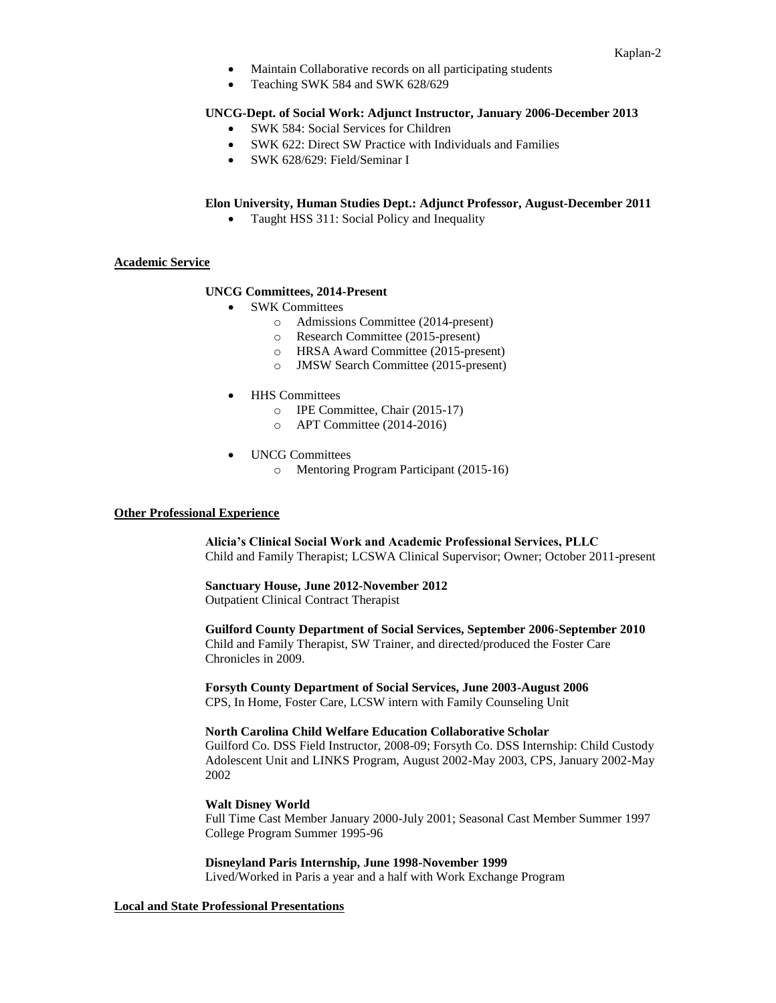- Maintain Collaborative records on all participating students
- Teaching SWK 584 and SWK 628/629

# **UNCG-Dept. of Social Work: Adjunct Instructor, January 2006-December 2013**

- SWK 584: Social Services for Children
- SWK 622: Direct SW Practice with Individuals and Families
- SWK 628/629: Field/Seminar I

# **Elon University, Human Studies Dept.: Adjunct Professor, August-December 2011**

• Taught HSS 311: Social Policy and Inequality

### **Academic Service**

# **UNCG Committees, 2014-Present**

- SWK Committees
	- o Admissions Committee (2014-present)
	- o Research Committee (2015-present)
	- o HRSA Award Committee (2015-present)
	- o JMSW Search Committee (2015-present)
- **HHS** Committees
	- o IPE Committee, Chair (2015-17)
	- o APT Committee (2014-2016)
- UNCG Committees
	- o Mentoring Program Participant (2015-16)

### **Other Professional Experience**

**Alicia's Clinical Social Work and Academic Professional Services, PLLC** Child and Family Therapist; LCSWA Clinical Supervisor; Owner; October 2011-present

# **Sanctuary House, June 2012-November 2012**

Outpatient Clinical Contract Therapist

**Guilford County Department of Social Services, September 2006-September 2010** Child and Family Therapist, SW Trainer, and directed/produced the Foster Care Chronicles in 2009.

**Forsyth County Department of Social Services, June 2003-August 2006** CPS, In Home, Foster Care, LCSW intern with Family Counseling Unit

### **North Carolina Child Welfare Education Collaborative Scholar**

Guilford Co. DSS Field Instructor, 2008-09; Forsyth Co. DSS Internship: Child Custody Adolescent Unit and LINKS Program, August 2002-May 2003, CPS, January 2002-May 2002

### **Walt Disney World**

 Full Time Cast Member January 2000-July 2001; Seasonal Cast Member Summer 1997 College Program Summer 1995-96

**Disneyland Paris Internship, June 1998-November 1999** Lived/Worked in Paris a year and a half with Work Exchange Program

### **Local and State Professional Presentations**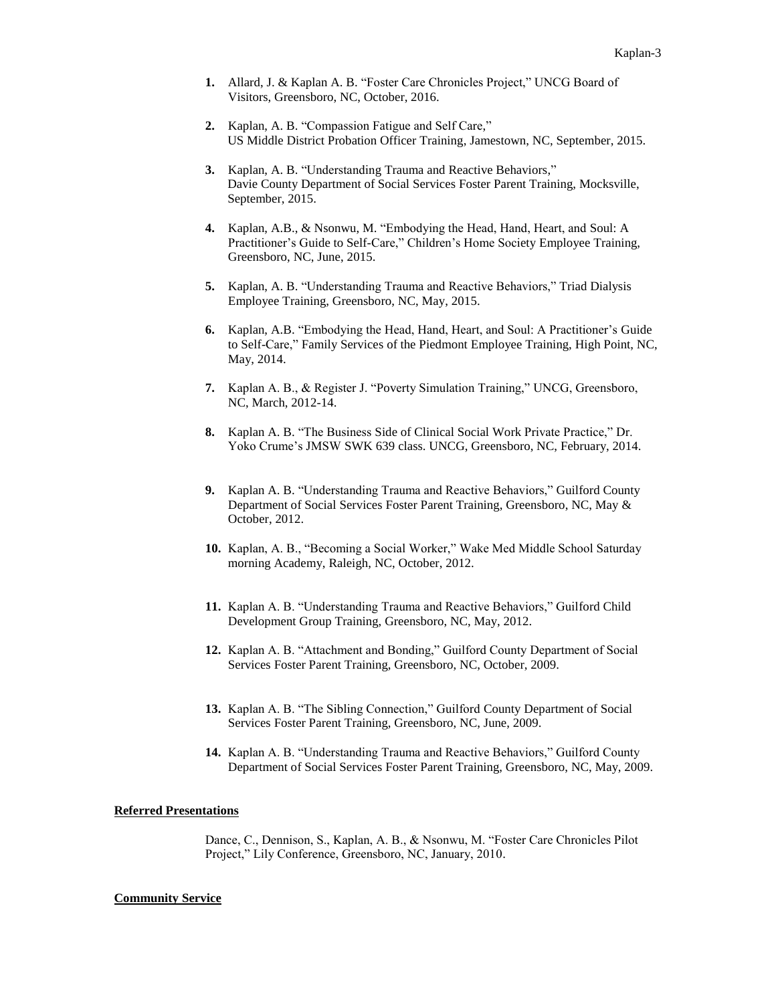- **1.** Allard, J. & Kaplan A. B. "Foster Care Chronicles Project," UNCG Board of Visitors, Greensboro, NC, October, 2016.
- **2.** Kaplan, A. B. "Compassion Fatigue and Self Care," US Middle District Probation Officer Training, Jamestown, NC, September, 2015.
- **3.** Kaplan, A. B. "Understanding Trauma and Reactive Behaviors," Davie County Department of Social Services Foster Parent Training, Mocksville, September, 2015.
- **4.** Kaplan, A.B., & Nsonwu, M. "Embodying the Head, Hand, Heart, and Soul: A Practitioner's Guide to Self-Care," Children's Home Society Employee Training, Greensboro, NC, June, 2015.
- **5.** Kaplan, A. B. "Understanding Trauma and Reactive Behaviors," Triad Dialysis Employee Training, Greensboro, NC, May, 2015.
- **6.** Kaplan, A.B. "Embodying the Head, Hand, Heart, and Soul: A Practitioner's Guide to Self-Care," Family Services of the Piedmont Employee Training, High Point, NC, May, 2014.
- **7.** Kaplan A. B., & Register J. "Poverty Simulation Training," UNCG, Greensboro, NC, March, 2012-14.
- **8.** Kaplan A. B. "The Business Side of Clinical Social Work Private Practice," Dr. Yoko Crume's JMSW SWK 639 class. UNCG, Greensboro, NC, February, 2014.
- **9.** Kaplan A. B. "Understanding Trauma and Reactive Behaviors," Guilford County Department of Social Services Foster Parent Training, Greensboro, NC, May & October, 2012.
- **10.** Kaplan, A. B., "Becoming a Social Worker," Wake Med Middle School Saturday morning Academy, Raleigh, NC, October, 2012.
- **11.** Kaplan A. B. "Understanding Trauma and Reactive Behaviors," Guilford Child Development Group Training, Greensboro, NC, May, 2012.
- **12.** Kaplan A. B. "Attachment and Bonding," Guilford County Department of Social Services Foster Parent Training, Greensboro, NC, October, 2009.
- **13.** Kaplan A. B. "The Sibling Connection," Guilford County Department of Social Services Foster Parent Training, Greensboro, NC, June, 2009.
- **14.** Kaplan A. B. "Understanding Trauma and Reactive Behaviors," Guilford County Department of Social Services Foster Parent Training, Greensboro, NC, May, 2009.

#### **Referred Presentations**

Dance, C., Dennison, S., Kaplan, A. B., & Nsonwu, M. "Foster Care Chronicles Pilot Project," Lily Conference, Greensboro, NC, January, 2010.

#### **Community Service**